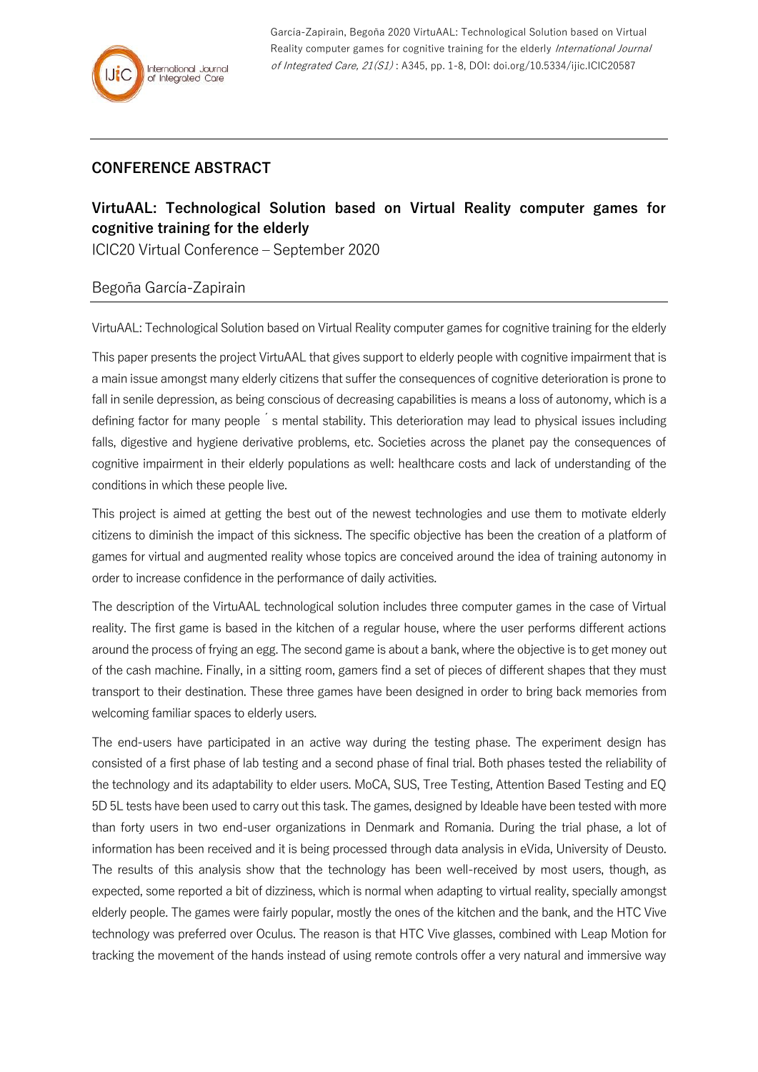García-Zapirain, Begoña 2020 VirtuAAL: Technological Solution based on Virtual Reality computer games for cognitive training for the elderly International Journal of Integrated Care, 21(S1) : A345, pp. 1-8, DOI: doi.org/10.5334/ijic.ICIC20587

## **CONFERENCE ABSTRACT**

## **VirtuAAL: Technological Solution based on Virtual Reality computer games for cognitive training for the elderly**

ICIC20 Virtual Conference – September 2020

## Begoña García-Zapirain

VirtuAAL: Technological Solution based on Virtual Reality computer games for cognitive training for the elderly

This paper presents the project VirtuAAL that gives support to elderly people with cognitive impairment that is a main issue amongst many elderly citizens that suffer the consequences of cognitive deterioration is prone to fall in senile depression, as being conscious of decreasing capabilities is means a loss of autonomy, which is a defining factor for many people <sup>'</sup>s mental stability. This deterioration may lead to physical issues including falls, digestive and hygiene derivative problems, etc. Societies across the planet pay the consequences of cognitive impairment in their elderly populations as well: healthcare costs and lack of understanding of the conditions in which these people live.

This project is aimed at getting the best out of the newest technologies and use them to motivate elderly citizens to diminish the impact of this sickness. The specific objective has been the creation of a platform of games for virtual and augmented reality whose topics are conceived around the idea of training autonomy in order to increase confidence in the performance of daily activities.

The description of the VirtuAAL technological solution includes three computer games in the case of Virtual reality. The first game is based in the kitchen of a regular house, where the user performs different actions around the process of frying an egg. The second game is about a bank, where the objective is to get money out of the cash machine. Finally, in a sitting room, gamers find a set of pieces of different shapes that they must transport to their destination. These three games have been designed in order to bring back memories from welcoming familiar spaces to elderly users.

The end-users have participated in an active way during the testing phase. The experiment design has consisted of a first phase of lab testing and a second phase of final trial. Both phases tested the reliability of the technology and its adaptability to elder users. MoCA, SUS, Tree Testing, Attention Based Testing and EQ 5D 5L tests have been used to carry out this task. The games, designed by Ideable have been tested with more than forty users in two end-user organizations in Denmark and Romania. During the trial phase, a lot of information has been received and it is being processed through data analysis in eVida, University of Deusto. The results of this analysis show that the technology has been well-received by most users, though, as expected, some reported a bit of dizziness, which is normal when adapting to virtual reality, specially amongst elderly people. The games were fairly popular, mostly the ones of the kitchen and the bank, and the HTC Vive technology was preferred over Oculus. The reason is that HTC Vive glasses, combined with Leap Motion for tracking the movement of the hands instead of using remote controls offer a very natural and immersive way